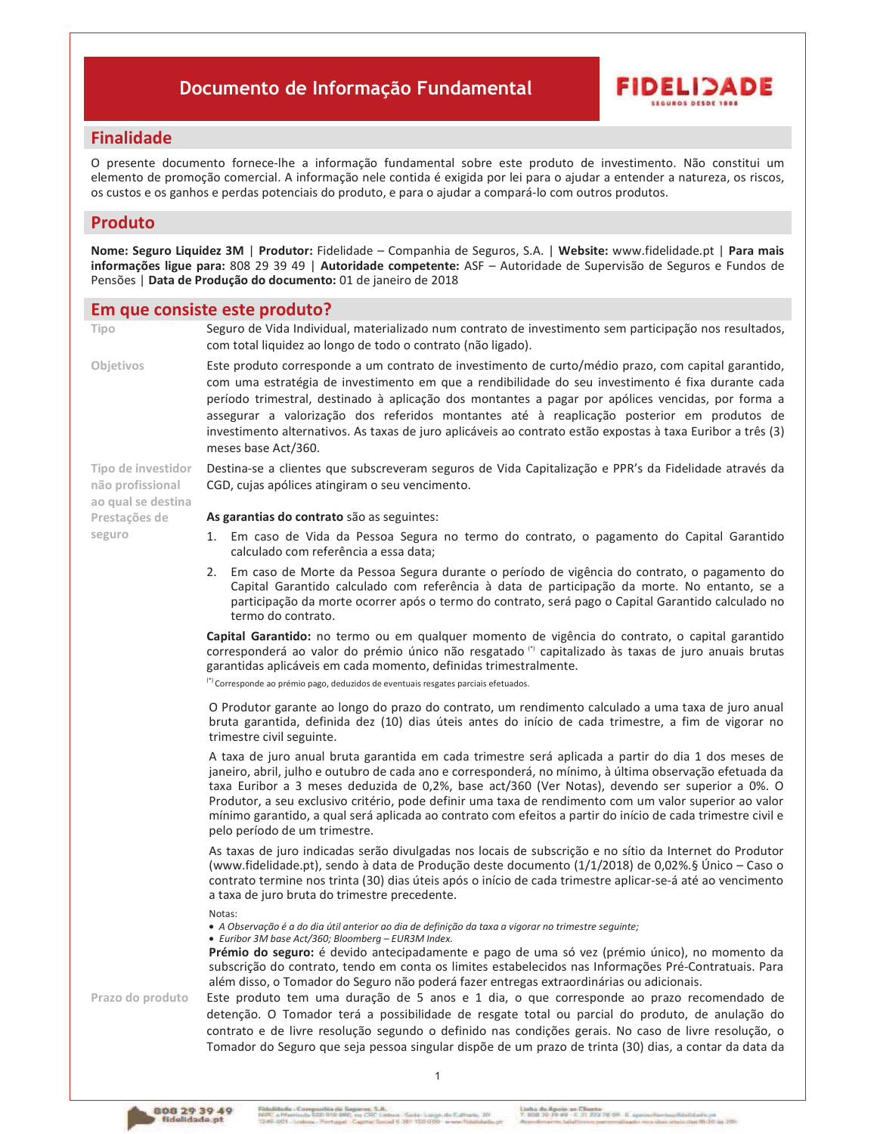# Documento de Informação Fundamental



# **Finalidade**

O presente documento fornece-lhe a informação fundamental sobre este produto de investimento. Não constitui um elemento de promoção comercial. A informação nele contida é exigida por lei para o ajudar a entender a natureza, os riscos, os custos e os ganhos e perdas potenciais do produto, e para o ajudar a compará-lo com outros produtos.

# **Produto**

Nome: Seguro Liquidez 3M | Produtor: Fidelidade - Companhia de Seguros, S.A. | Website: www.fidelidade.pt | Para mais informações ligue para: 808 29 39 49 | Autoridade competente: ASF - Autoridade de Supervisão de Seguros e Fundos de Pensões | Data de Produção do documento: 01 de janeiro de 2018

### Em que consiste este produto?

Tipo

Objetivos

Tipo de investidor

ao qual se destina

não profissional

Prestações de seguro

Seguro de Vida Individual, materializado num contrato de investimento sem participação nos resultados, com total liquidez ao longo de todo o contrato (não ligado).

Este produto corresponde a um contrato de investimento de curto/médio prazo, com capital garantido, com uma estratégia de investimento em que a rendibilidade do seu investimento é fixa durante cada período trimestral, destinado à aplicação dos montantes a pagar por apólices vencidas, por forma a assegurar a valorização dos referidos montantes até à reaplicação posterior em produtos de investimento alternativos. As taxas de juro aplicáveis ao contrato estão expostas à taxa Euribor a três (3) meses base Act/360.

Destina-se a clientes que subscreveram seguros de Vida Capitalização e PPR's da Fidelidade através da CGD, cujas apólices atingiram o seu vencimento.

As garantias do contrato são as seguintes:

- 1. Em caso de Vida da Pessoa Segura no termo do contrato, o pagamento do Capital Garantido calculado com referência a essa data;
- 2. Em caso de Morte da Pessoa Segura durante o período de vigência do contrato, o pagamento do Capital Garantido calculado com referência à data de participação da morte. No entanto, se a participação da morte ocorrer após o termo do contrato, será pago o Capital Garantido calculado no termo do contrato.

Capital Garantido: no termo ou em qualquer momento de vigência do contrato, o capital garantido corresponderá ao valor do prémio único não resgatado (" capitalizado às taxas de juro anuais brutas garantidas aplicáveis em cada momento, definidas trimestralmente.

<sup>(\*)</sup> Corresponde ao prémio pago, deduzidos de eventuais resgates parciais efetuados.

O Produtor garante ao longo do prazo do contrato, um rendimento calculado a uma taxa de juro anual bruta garantida, definida dez (10) dias úteis antes do início de cada trimestre, a fim de vigorar no trimestre civil seguinte.

A taxa de juro anual bruta garantida em cada trimestre será aplicada a partir do dia 1 dos meses de janeiro, abril, julho e outubro de cada ano e corresponderá, no mínimo, à última observação efetuada da taxa Euribor a 3 meses deduzida de 0,2%, base act/360 (Ver Notas), devendo ser superior a 0%. O Produtor, a seu exclusivo critério, pode definir uma taxa de rendimento com um valor superior ao valor mínimo garantido, a qual será aplicada ao contrato com efeitos a partir do início de cada trimestre civil e pelo período de um trimestre.

As taxas de juro indicadas serão divulgadas nos locais de subscrição e no sítio da Internet do Produtor (www.fidelidade.pt), sendo à data de Produção deste documento (1/1/2018) de 0,02%.§ Único - Caso o contrato termine nos trinta (30) dias úteis após o início de cada trimestre aplicar-se-á até ao vencimento a taxa de juro bruta do trimestre precedente.

Notas:

- · A Observação é a do dia útil anterior ao dia de definição da taxa a vigorar no trimestre sequinte;
- Euribor 3M base Act/360; Bloomberg EUR3M Index.

Prémio do seguro: é devido antecipadamente e pago de uma só vez (prémio único), no momento da subscrição do contrato, tendo em conta os limites estabelecidos nas Informações Pré-Contratuais. Para além disso, o Tomador do Seguro não poderá fazer entregas extraordinárias ou adicionais.

Prazo do produto

Este produto tem uma duração de 5 anos e 1 dia, o que corresponde ao prazo recomendado de detenção. O Tomador terá a possibilidade de resgate total ou parcial do produto, de anulação do contrato e de livre resolução segundo o definido nas condições gerais. No caso de livre resolução, o Tomador do Seguro que seja pessoa singular dispõe de um prazo de trinta (30) dias, a contar da data da

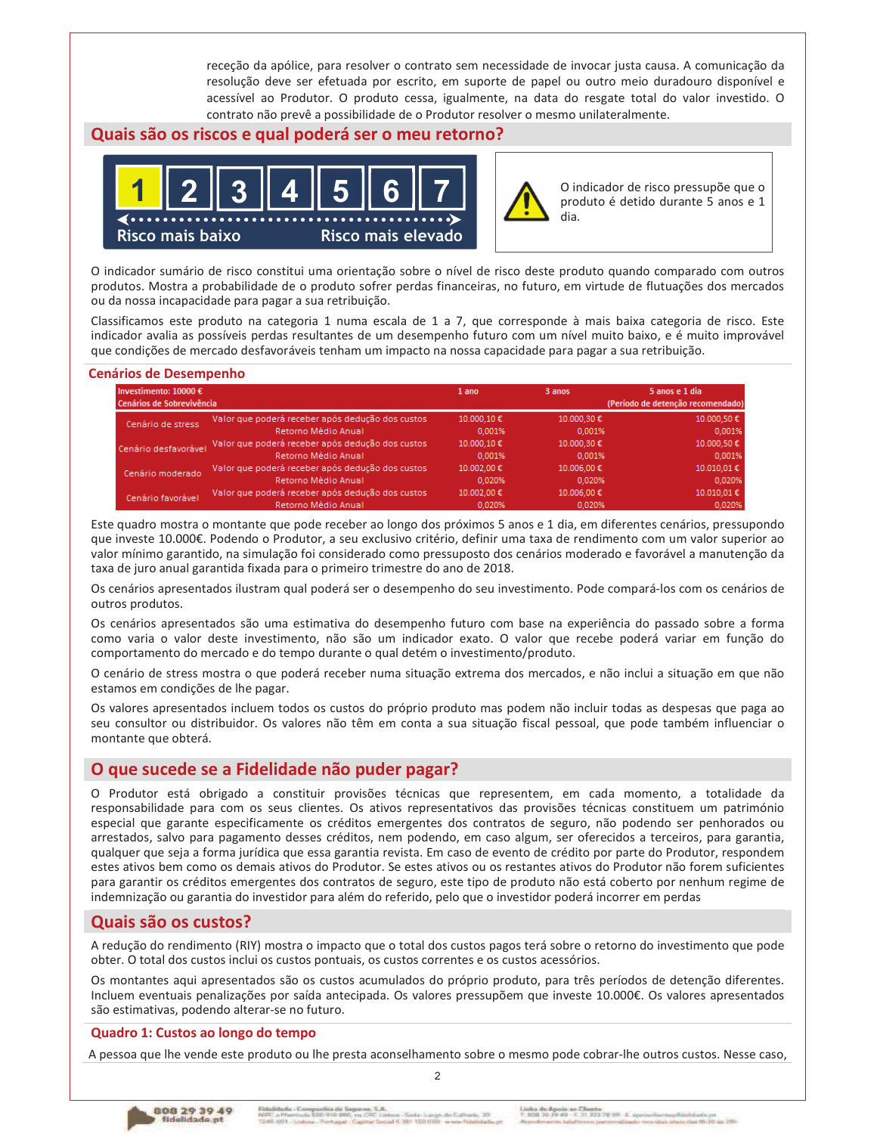receção da apólice, para resolver o contrato sem necessidade de invocar justa causa. A comunicação da resolução deve ser efetuada por escrito, em suporte de papel ou outro meio duradouro disponível e acessível ao Produtor. O produto cessa, igualmente, na data do resgate total do valor investido. O contrato não prevê a possibilidade de o Produtor resolver o mesmo unilateralmente.

# Quais são os riscos e qual poderá ser o meu retorno?





O indicador de risco pressupõe que o produto é detido durante 5 anos e 1

O indicador sumário de risco constitui uma orientação sobre o nível de risco deste produto quando comparado com outros produtos. Mostra a probabilidade de o produto sofrer perdas financeiras, no futuro, em virtude de flutuações dos mercados ou da nossa incapacidade para pagar a sua retribuição.

Classificamos este produto na categoria 1 numa escala de 1 a 7, que corresponde à mais baixa categoria de risco. Este indicador avalia as possíveis perdas resultantes de um desempenho futuro com um nível muito baixo, e é muito improvável que condições de mercado desfavoráveis tenham um impacto na nossa capacidade para pagar a sua retribuição.

### **Cenários de Desempenho**

| Investimento: 10000 €<br>Cenários de Sobrevivência |                                                  | 1 ano      | 3 anos     | 5 anos e 1 dia<br>(Período de detenção recomendado) |
|----------------------------------------------------|--------------------------------------------------|------------|------------|-----------------------------------------------------|
| Cenário de stress                                  | Valor que poderá receber após dedução dos custos | 10.000.10€ | 10.000,30€ | 10.000,50€                                          |
|                                                    | Retorno Médio Anual                              | 0.001%     | 0.001%     | 0,001%                                              |
| Cenário desfavorável                               | Valor que poderá receber após dedução dos custos | 10.000,10€ | 10.000,30€ | 10.000,50€                                          |
|                                                    | Retorno Médio Anual                              | 0.001%     | 0.001%     | 0,001%                                              |
| Cenário moderado                                   | Valor que poderá receber após dedução dos custos | 10.002,00€ | 10.006,00€ | 10.010,01€                                          |
|                                                    | Retorno Médio Anual                              | 0.020%     | 0.020%     | 0,020%                                              |
| Cenário favorável.                                 | Valor que poderá receber após dedução dos custos | 10.002.00€ | 10.006,00€ | 10.010,01€                                          |
|                                                    | Retorno Médio Anual                              | 0.020%     | 0.020%     | 0,020%                                              |

Este quadro mostra o montante que pode receber ao longo dos próximos 5 anos e 1 dia, em diferentes cenários, pressupondo que investe 10.000€. Podendo o Produtor, a seu exclusivo critério, definir uma taxa de rendimento com um valor superior ao valor mínimo garantido, na simulação foi considerado como pressuposto dos cenários moderado e favorável a manutenção da taxa de juro anual garantida fixada para o primeiro trimestre do ano de 2018.

Os cenários apresentados ilustram qual poderá ser o desempenho do seu investimento. Pode compará-los com os cenários de outros produtos.

Os cenários apresentados são uma estimativa do desempenho futuro com base na experiência do passado sobre a forma como varia o valor deste investimento, não são um indicador exato. O valor que recebe poderá variar em função do comportamento do mercado e do tempo durante o qual detém o investimento/produto.

O cenário de stress mostra o que poderá receber numa situação extrema dos mercados, e não inclui a situação em que não estamos em condições de lhe pagar.

Os valores apresentados incluem todos os custos do próprio produto mas podem não incluir todas as despesas que paga ao seu consultor ou distribuidor. Os valores não têm em conta a sua situação fiscal pessoal, que pode também influenciar o montante que obterá.

# O que sucede se a Fidelidade não puder pagar?

O Produtor está obrigado a constituir provisões técnicas que representem, em cada momento, a totalidade da responsabilidade para com os seus clientes. Os ativos representativos das provisões técnicas constituem um património especial que garante especificamente os créditos emergentes dos contratos de seguro, não podendo ser penhorados ou arrestados, salvo para pagamento desses créditos, nem podendo, em caso algum, ser oferecidos a terceiros, para garantia, qualquer que seja a forma jurídica que essa garantia revista. Em caso de evento de crédito por parte do Produtor, respondem estes ativos bem como os demais ativos do Produtor. Se estes ativos ou os restantes ativos do Produtor não forem suficientes para garantir os créditos emergentes dos contratos de seguro, este tipo de produto não está coberto por nenhum regime de indemnização ou garantia do investidor para além do referido, pelo que o investidor poderá incorrer em perdas

# Quais são os custos?

A redução do rendimento (RIY) mostra o impacto que o total dos custos pagos terá sobre o retorno do investimento que pode obter. O total dos custos inclui os custos pontuais, os custos correntes e os custos acessórios.

Os montantes aqui apresentados são os custos acumulados do próprio produto, para três períodos de detenção diferentes. Incluem eventuais penalizações por saída antecipada. Os valores pressupõem que investe 10.000€. Os valores apresentados são estimativas, podendo alterar-se no futuro.

#### Quadro 1: Custos ao longo do tempo

A pessoa que lhe vende este produto ou lhe presta aconselhamento sobre o mesmo pode cobrar-lhe outros custos. Nesse caso,

 $\mathfrak{p}$